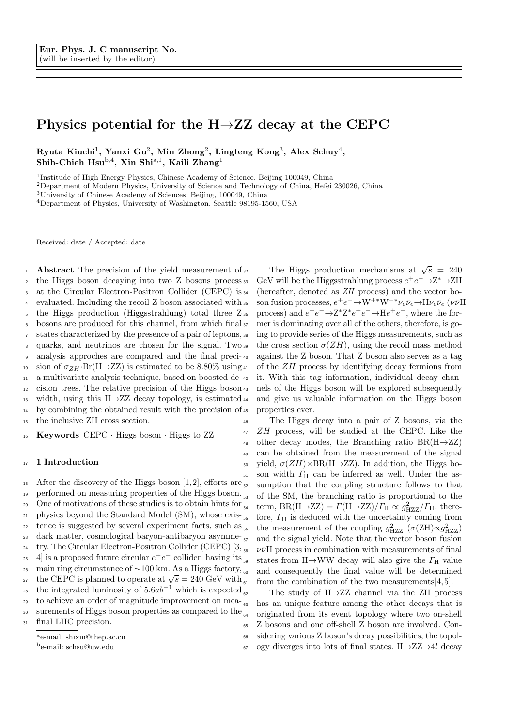# Physics potential for the  $H\rightarrow ZZ$  decay at the CEPC

Ryuta Kiuchi<sup>1</sup>, Yanxi Gu<sup>2</sup>, Min Zhong<sup>2</sup>, Lingteng Kong<sup>3</sup>, Alex Schuy<sup>4</sup>, Shih-Chieh Hsu<sup>b,4</sup>, Xin Shi<sup>a,1</sup>, Kaili Zhang<sup>1</sup>

<sup>1</sup>Institude of High Energy Physics, Chinese Academy of Science, Beijing 100049, China

<sup>2</sup>Department of Modern Physics, University of Science and Technology of China, Hefei 230026, China

<sup>3</sup>University of Chinese Academy of Sciences, Beijing, 100049, China

<sup>4</sup>Department of Physics, University of Washington, Seattle 98195-1560, USA

Received: date / Accepted: date

1 **Abstract** The precision of the yield measurement of  $32$ <sup>2</sup> the Higgs boson decaying into two Z bosons process 3 at the Circular Electron-Positron Collider (CEPC) is 34 evaluated. Including the recoil Z boson associated with  $\frac{1}{2}$ <sup>5</sup> the Higgs production (Higgsstrahlung) total three Z<sup>36</sup>  $6$  bosons are produced for this channel, from which final  $\frac{1}{37}$ <sup>7</sup> states characterized by the presence of a pair of leptons, 8 quarks, and neutrinos are chosen for the signal. Two 39 <sup>9</sup> analysis approches are compared and the final preci-10 sion of  $\sigma_{ZH}$ ·Br(H $\rightarrow$ ZZ) is estimated to be 8.80% using 41 <sup>11</sup> a multivariate analysis technique, based on boosted de-<sup>12</sup> cision trees. The relative precision of the Higgs boson 13 width, using this H $\rightarrow$ ZZ decay topology, is estimated 44 <sup>14</sup> by combining the obtained result with the precision of <sup>15</sup> the inclusive ZH cross section.

<sup>16</sup> Keywords CEPC · Higgs boson · Higgs to ZZ

## 17 1 Introduction

<sup>18</sup> After the discovery of the Higgs boson [1, 2], efforts are  $\frac{1}{52}$ 19 performed on measuring properties of the Higgs boson. 20 One of motivations of these studies is to obtain hints for  $_{54}$ 21 physics beyond the Standard Model (SM), whose exis- $_{55}$  $_{22}$  tence is suggested by several experiment facts, such as  $_{56}$ <sup>23</sup> dark matter, cosmological baryon-antibaryon asymme-<sup>24</sup> try. The Circular Electron-Positron Collider (CEPC)  $[3, \frac{1}{56}]$ <sup>25</sup> 4 is a proposed future circular  $e^+e^-$  collider, having its <sup>26</sup> main ring circumstance of ~100 km. As a Higgs factory, <sub>60</sub> the CEPC is planned to operate at  $\sqrt{s} = 240 \text{ GeV}$  with the integrated luminosity of  $5.6ab^{-1}$  which is expected 29 to achieve an order of magnitude improvement on mea- $_{63}$ 30 surements of Higgs boson properties as compared to the  $\epsilon_{64}$ <sup>31</sup> final LHC precision. <sup>a</sup>e-mail: shixin@ihep.ac.cn

32 The Higgs production mechanisms at  $\sqrt{s}$  = 240 <sup>33</sup> GeV will be the Higgsstrahlung process  $e^+e^-$  →  $Z^*$  →  $ZH$ (hereafter, denoted as  $ZH$  process) and the vector boss son fusion processes,  $e^+e^- \rightarrow W^{+*}W^{-*}\nu_e\bar{\nu}_e \rightarrow H\nu_e\bar{\nu}_e$  ( $\nu\bar{\nu}H$ <sup>36</sup> process) and  $e^+e^- \rightarrow Z^*Z^*e^+e^- \rightarrow He^+e^-$ , where the former is dominating over all of the others, therefore, is going to provide series of the Higgs measurements, such as the cross section  $\sigma(ZH)$ , using the recoil mass method <sup>40</sup> against the Z boson. That Z boson also serves as a tag of the  $ZH$  process by identifying decay fermions from it. With this tag information, individual decay channels of the Higgs boson will be explored subsequently and give us valuable information on the Higgs boson properties ever.

<sup>46</sup> The Higgs decay into a pair of Z bosons, via the <sup>47</sup> ZH process, will be studied at the CEPC. Like the 48 other decay modes, the Branching ratio  $BR(H\rightarrow ZZ)$ <sup>49</sup> can be obtained from the measurement of the signal 50 yield,  $\sigma(ZH) \times BR(H \rightarrow ZZ)$ . In addition, the Higgs bo- $_{51}$  son width  $\Gamma_{\text{H}}$  can be inferred as well. Under the assumption that the coupling structure follows to that <sup>53</sup> of the SM, the branching ratio is proportional to the <sup>54</sup> term,  $BR(H\rightarrow ZZ) = \Gamma(H\rightarrow ZZ)/\Gamma_H \propto g_{HZZ}^2/\Gamma_H$ , therefore,  $\varGamma_{\rm H}$  is deduced with the uncertainty coming from <sup>56</sup> the measurement of the coupling  $g_{HZZ}^2$  ( $\sigma(ZH)\propto g_{HZZ}^2$ ) and the signal yield. Note that the vector boson fusion  $\nu\bar{\nu}H$  process in combination with measurements of final states from H $\rightarrow$ WW decay will also give the  $\Gamma_H$  value and consequently the final value will be determined from the combination of the two measurements $[4, 5]$ .

The study of  $H\rightarrow ZZ$  channel via the ZH process has an unique feature among the other decays that is originated from its event topology where two on-shell <sup>65</sup> Z bosons and one off-shell Z boson are involved. Con-<sup>66</sup> sidering various Z boson's decay possibilities, the topol- $67$  ogy diverges into lots of final states. H $\rightarrow$ ZZ $\rightarrow$ 4l decay

<sup>b</sup>e-mail: schsu@uw.edu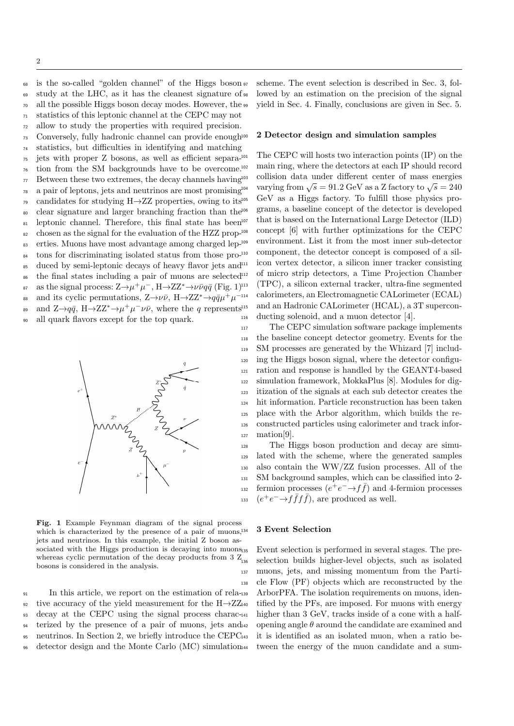is the so-called "golden channel" of the Higgs boson study at the LHC, as it has the cleanest signature of <sup>70</sup> all the possible Higgs boson decay modes. However, the <sup>99</sup> statistics of this leptonic channel at the CEPC may not allow to study the properties with required precision. Conversely, fully hadronic channel can provide enough

<sup>74</sup> statistics, but difficulties in identifying and matching <sup>75</sup> jets with proper Z bosons, as well as efficient separa-<sup>76</sup> tion from the SM backgrounds have to be overcome.  $77$  Between these two extremes, the decay channels having  $103$ <sup>78</sup> a pair of leptons, jets and neutrinos are most promising <sup>79</sup> candidates for studying H $\rightarrow$ ZZ properties, owing to its<sup>105</sup> <sup>80</sup> clear signature and larger branching fraction than the 81 leptonic channel. Therefore, this final state has been<sup>107</sup>  $\frac{82}{2}$  chosen as the signal for the evaluation of the HZZ prop- $^{108}$ 83 erties. Muons have most advantage among charged lep-<sup>109</sup> <sup>84</sup> tons for discriminating isolated status from those pro-<sup>85</sup> duced by semi-leptonic decays of heavy flavor jets and<sup>111</sup> <sup>86</sup> the final states including a pair of muons are selected as the signal process:  $Z \rightarrow \mu^+ \mu^-$ ,  $H \rightarrow ZZ^* \rightarrow \nu \bar{\nu} q \bar{q}$  (Fig. 1) and its cyclic permutations,  $Z \rightarrow \nu \bar{\nu}$ ,  $H \rightarrow ZZ^* \rightarrow q \bar{q} \mu^+ \mu^$ and  $Z \rightarrow q\bar{q}$ ,  $H \rightarrow ZZ^* \rightarrow \mu^+ \mu^- \nu \bar{\nu}$ , where the q represents <sup>90</sup> all quark flavors except for the top quark.



Fig. 1 Example Feynman diagram of the signal process which is characterized by the presence of a pair of muons,<sup>134</sup> jets and neutrinos. In this example, the initial Z boson associated with the Higgs production is decaying into muons<sub>135</sub> whereas cyclic permutation of the decay products from  $3 Z_{136}$ bosons is considered in the analysis.

 In this article, we report on the estimation of rela-92 tive accuracy of the yield measurement for the  $H\rightarrow ZZ_{440}$  decay at the CEPC using the signal process charac- terized by the presence of a pair of muons, jets and 95 neutrinos. In Section 2, we briefly introduce the CEPC<sup>143</sup> detector design and the Monte Carlo (MC) simulation scheme. The event selection is described in Sec. 3, followed by an estimation on the precision of the signal yield in Sec. 4. Finally, conclusions are given in Sec. 5.

#### 2 Detector design and simulation samples

The CEPC will hosts two interaction points (IP) on the main ring, where the detectors at each IP should record <sup>103</sup> collision data under different center of mass energies varying from  $\sqrt{s} = 91.2$  GeV as a Z factory to  $\sqrt{s} = 240$ GeV as a Higgs factory. To fulfill those physics programs, a baseline concept of the detector is developed that is based on the International Large Detector (ILD) concept [6] with further optimizations for the CEPC environment. List it from the most inner sub-detector component, the detector concept is composed of a silicon vertex detector, a silicon inner tracker consisting of micro strip detectors, a Time Projection Chamber <sup>113</sup> (TPC), a silicon external tracker, ultra-fine segmented calorimeters, an Electromagnetic CALorimeter (ECAL) and an Hadronic CALorimeter (HCAL), a 3T supercon-<sup>116</sup> ducting solenoid, and a muon detector [4].

 The CEPC simulation software package implements the baseline concept detector geometry. Events for the SM processes are generated by the Whizard [7] includ- ing the Higgs boson signal, where the detector configu- ration and response is handled by the GEANT4-based simulation framework, MokkaPlus [8]. Modules for dig- itization of the signals at each sub detector creates the hit information. Particle reconstruction has been taken place with the Arbor algorithm, which builds the re- constructed particles using calorimeter and track infor- $_{127}$  mation[9].

 The Higgs boson production and decay are simu- lated with the scheme, where the generated samples also contain the WW/ZZ fusion processes. All of the SM background samples, which can be classified into 2  $f_{132}$  fermion processes  $(e^+e^- \rightarrow f\bar{f})$  and 4-fermion processes <sup>133</sup> ( $e^+e^- \rightarrow f\bar{f}f\bar{f}$ ), are produced as well.

#### <sup>134</sup> 3 Event Selection

Event selection is performed in several stages. The preselection builds higher-level objects, such as isolated <sup>137</sup> muons, jets, and missing momentum from the Parti-<sup>138</sup> cle Flow (PF) objects which are reconstructed by the ArborPFA. The isolation requirements on muons, identified by the PFs, are imposed. For muons with energy higher than  $3 \text{ GeV}$ , tracks inside of a cone with a halfopening angle  $\theta$  around the candidate are examined and it is identified as an isolated muon, when a ratio between the energy of the muon candidate and a sum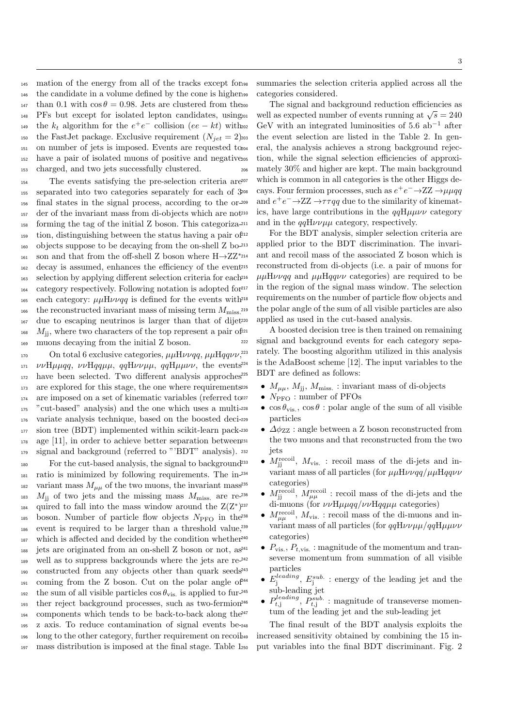mation of the energy from all of the tracks except for the candidate in a volume defined by the cone is higher 147 than 0.1 with  $\cos \theta = 0.98$ . Jets are clustered from the 200 PFs but except for isolated lepton candidates, using <sup>149</sup> the  $k_t$  algorithm for the  $e^+e^-$  collision  $(ee - kt)$  with 150 the FastJet package. Exclusive requirement  $(N_{jet} = 2)$ 203 on number of jets is imposed. Events are requested to have a pair of isolated muons of positive and negative charged, and two jets successfully clustered.

 The events satisfying the pre-selection criteria are separated into two categories separately for each of 3 final states in the signal process, according to the or- der of the invariant mass from di-objects which are not forming the tag of the initial Z boson. This categoriza- tion, distinguishing between the status having a pair of objects suppose to be decaying from the on-shell Z boson and that from the off-shell Z boson where  $H\rightarrow ZZ^{*_{214}}$ 161 decay is assumed, enhances the efficiency of the event selection by applying different selection criteria for each category respectively. Following notation is adopted for 165 each category:  $\mu\mu H\nu\nu q\bar{q}$  is defined for the events with 218 the reconstructed invariant mass of missing term  $M_{\rm miss}$ <sup>219</sup> 166 due to escaping neutrinos is larger than that of dijet  $M_{\text{jj}}$ , where two characters of the top represent a pair of  $2^{22}$ muons decaying from the initial Z boson.

170 On total 6 exclusive categories,  $\mu\mu H\nu\nu qq$ ,  $\mu\mu Hqq\nu\nu$ <sup>223</sup>,  $\nu\nu H\mu\mu qq$ ,  $\nu\nu Hqq\mu\mu$ ,  $qqH\nu\nu\mu\mu$ ,  $qqH\mu\mu\nu\nu$ , the events<sup>224</sup> have been selected. Two different analysis approches 173 are explored for this stage, the one where requirements<sup>226</sup> 174 are imposed on a set of kinematic variables (referred to 277 "cut-based" analysis) and the one which uses a multi- variate analysis technique, based on the boosted deci- sion tree (BDT) implemented within scikit-learn pack- age [11], in order to achieve better separation between signal and background (referred to "'BDT" analysis).

 For the cut-based analysis, the signal to background ratio is minimized by following requirements. The in-182 variant mass  $M_{\mu\mu}$  of the two muons, the invariant mass<sup>235</sup>  $M_{\text{jj}}$  of two jets and the missing mass  $M_{\text{miss}}$  are re-236 quired to fall into the mass window around the  $Z(Z^*)$ 185 boson. Number of particle flow objects  $N_{\text{PFO}}$  in the<sup>238</sup> event is required to be larger than a threshold value, 187 which is affected and decided by the condition whether<sup>240</sup> jets are originated from an on-shell Z boson or not, as well as to suppress backgrounds where the jets are re- constructed from any objects other than quark seeds  $_{191}$  coming from the Z boson. Cut on the polar angle of  $^{244}$ the sum of all visible particles  $\cos \theta_{\rm vis.}$  is applied to fur- ther reject background processes, such as two-fermion 194 components which tends to be back-to-back along the  $2^{47}$  z axis. To reduce contamination of signal events be- long to the other category, further requirement on recoil mass distribution is imposed at the final stage. Table 1 summaries the selection criteria applied across all the categories considered.

The signal and background reduction efficiencies as  $\frac{200}{201}$  well as expected number of events running at  $\sqrt{s} = 240$  $E_{202}$  GeV with an integrated luminosities of 5.6 ab<sup>-1</sup> after the event selection are listed in the Table 2. In general, the analysis achieves a strong background rejection, while the signal selection efficiencies of approximately  $30\%$  and higher are kept. The main background which is common in all categories is the other Higgs de-<sup>208</sup> cays. Four fermion processes, such as  $e^+e^- \rightarrow ZZ \rightarrow \mu \mu qq$ as and  $e^+e^- \rightarrow ZZ \rightarrow \tau \tau qq$  due to the similarity of kinematics, have large contributions in the  $qqH\mu\mu\nu\nu$  category and in the  $qqH\nu\nu\mu\mu$  category, respectively.

For the BDT analysis, simpler selection criteria are applied prior to the BDT discrimination. The invariant and recoil mass of the associated Z boson which is reconstructed from di-objects (i.e. a pair of muons for  $\mu\mu H\nu\nu q\bar{q}$  and  $\mu\mu H q\bar{q}\nu\nu$  categories) are required to be <sup>217</sup> in the region of the signal mass window. The selection requirements on the number of particle flow objects and the polar angle of the sum of all visible particles are also applied as used in the cut-based analysis.

A boosted decision tree is then trained on remaining <sup>222</sup> signal and background events for each category separately. The boosting algorithm utilized in this analysis is the AdaBoost scheme  $[12]$ . The input variables to the BDT are defined as follows:

- <sup>226</sup>  $M_{\mu\mu}$ ,  $M_{jj}$ ,  $M_{\text{miss.}}$ : invariant mass of di-objects
	- $\bullet\,$   $N_{\text{PFO}}$  : number of PFOs
- $\cos \theta_{\text{vis.}}$ ,  $\cos \theta$ : polar angle of the sum of all visible particles
	- $\Delta \phi_{ZZ}$  : angle between a Z boson reconstructed from the two muons and that reconstructed from the two jets
- <sup>233</sup>  $M_{jj}^{\text{recoil}}$ ,  $M_{\text{vis.}}$ : recoil mass of the di-jets and invariant mass of all particles (for  $\mu\mu H\nu\nu qq/\mu\mu Hqq\nu\nu$ categories)
- <sup>236</sup>  $M_{\text{jj}}^{\text{recoil}}$ ,  $M_{\mu\mu}^{\text{recoil}}$ : recoil mass of the di-jets and the di-muons (for  $\nu\nu H\mu\mu qq/\nu\nu Hqq\mu\mu$  categories)
- <sup>238</sup>  $M_{\mu\mu}^{\text{recoil}}$ ,  $M_{\text{vis.}}$ : recoil mass of the di-muons and invariant mass of all particles (for  $qq\mathrm{H}\nu\nu\mu\mu/qq\mathrm{H}\mu\mu\nu\nu$ categories)
- $P_{\text{vis.}}, P_{t, \text{vis.}}:$  magnitude of the momentum and transeverse momentum from summation of all visible particles
- <sup>244</sup>  $E_j^{leading}$ ,  $E_j^{sub.}$ : energy of the leading jet and the sub-leading jet
- <sup>246</sup>  $P_{t,j}^{leading}$ ,  $P_{t,j}^{sub.}$ : magnitude of transeverse momentum of the leading jet and the sub-leading jet

The final result of the BDT analysis exploits the increased sensitivity obtained by combining the 15 input variables into the final BDT discriminant. Fig. 2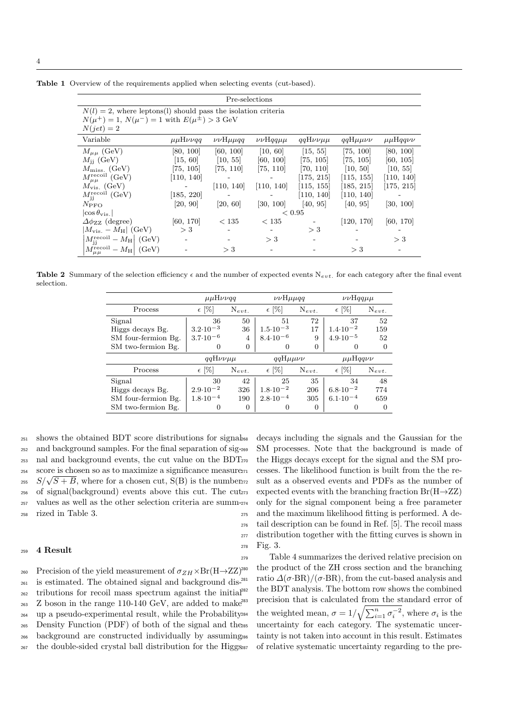|                                                                  |                                | Pre-selections         |                       |                   |                   |                |
|------------------------------------------------------------------|--------------------------------|------------------------|-----------------------|-------------------|-------------------|----------------|
| $N(l) = 2$ , where leptons(l) should pass the isolation criteria |                                |                        |                       |                   |                   |                |
| $N(\mu^{+}) = 1, N(\mu^{-}) = 1$ with $E(\mu^{\pm}) > 3$ GeV     |                                |                        |                       |                   |                   |                |
| $N(jet)=2$                                                       |                                |                        |                       |                   |                   |                |
| Variable                                                         | $\mu\mu H\nu\nu q\overline{q}$ | $\nu\nu$ H $\mu\mu$ qq | $\nu\nu$ Hqq $\mu\mu$ | $qqH\nu\nu\mu\mu$ | $qqH\mu\mu\nu\nu$ | $\mu\mu$ Hqqvv |
| $M_{\mu\mu}$ (GeV)                                               | [80, 100]                      | [60, 100]              | [10, 60]              | [15, 55]          | [75, 100]         | [80, 100]      |
| $M_{\rm ii}$ (GeV)                                               | [15, 60]                       | [10, 55]               | [60, 100]             | [75, 105]         | [75, 105]         | [60, 105]      |
| $M_{\rm miss.}$ (GeV)                                            | [75, 105]                      | [75, 110]              | [75, 110]             | [70, 110]         | [10, 50]          | [10, 55]       |
| $M_{\mu\mu}^{\rm recoil}$ (GeV)                                  | [110, 140]                     |                        |                       | [175, 215]        | [115, 155]        | [110, 140]     |
| $M_{\rm vis.}$ (GeV)                                             |                                | [110, 140]             | [110, 140]            | [115, 155]        | [185, 215]        | [175, 215]     |
| $M_{\rm ii}^{\rm recoil}$ (GeV)                                  | [185, 220]                     |                        |                       | [110, 140]        | [110, 140]        |                |
| $N_{\rm PFO}$                                                    | [20, 90]                       | [20, 60]               | [30, 100]             | [40, 95]          | [40, 95]          | [30, 100]      |
| $ \cos \theta_{\rm vis.} $                                       |                                |                        |                       | ${}_{\leq 0.95}$  |                   |                |
| $\Delta\phi_{ZZ}$ (degree)                                       | [60, 170]                      | < 135                  | < 135                 |                   | [120, 170]        | [60, 170]      |
| $ M_{\rm vis.}-M_{\rm H} $ (GeV)                                 | $>$ 3                          |                        |                       | $>$ 3             |                   |                |
| $M_{ii}^{\text{recoil}} - M_{\text{H}}$ (GeV)                    |                                |                        | $>$ 3                 |                   |                   | >3             |
| $M_{\mu\mu}^{\rm recoil} - M_{\rm H}$<br>(GeV)                   |                                | $>$ 3                  |                       |                   | $>$ 3             |                |

Table 1 Overview of the requirements applied when selecting events (cut-based).

**Table 2** Summary of the selection efficiency  $\epsilon$  and the number of expected events  $N_{evt}$ , for each category after the final event selection.

|                     | $\mu\mu H\nu\nu q\overline{q}$                           |            | $\nu\nu$ H $\mu$ uqq |            | $\nu\nu$ Hqq $\mu\mu$ |            |
|---------------------|----------------------------------------------------------|------------|----------------------|------------|-----------------------|------------|
| Process             | $\epsilon$ [%]                                           | $N_{evt.}$ | $\epsilon$ [%]       | $N_{evt.}$ | $\epsilon$ [%]        | $N_{evt.}$ |
| Signal              | 36                                                       | 50         | 51                   | 72         | 37                    | 52         |
| Higgs decays Bg.    | $3.2 \cdot 10^{-3}$                                      | 36         | $1.5 \cdot 10^{-3}$  | 17         | $1.4 \cdot 10^{-2}$   | 159        |
| SM four-fermion Bg. | $3.7 \cdot 10^{-6}$                                      | 4          | $8.4 \cdot 10^{-6}$  | 9          | $4.9 \cdot 10^{-5}$   | 52         |
| SM two-fermion Bg.  | 0                                                        | 0          | 0                    | $\Omega$   | $\theta$              | $\Omega$   |
|                     | $qqH\nu\nu\mu\mu$<br>$qqH\mu\mu\nu\nu$<br>$\mu\mu$ Hqqvv |            |                      |            |                       |            |
| Process             | $\epsilon$ [%]                                           | $N_{evt.}$ | $\epsilon$ [%]       | $N_{evt.}$ | $\epsilon$ [%]        | $N_{evt.}$ |
| Signal              | 30                                                       | 42         | 25                   | 35         | 34                    | 48         |
| Higgs decays Bg.    | $2.9 \cdot 10^{-2}$                                      | 326        | $1.8 \cdot 10^{-2}$  | 206        | $6.8 \cdot 10^{-2}$   | 774        |
| SM four-fermion Bg. | $1.8 \cdot 10^{-4}$                                      | 190        | $2.8 \cdot 10^{-4}$  | 305        | $6.1 \cdot 10^{-4}$   | 659        |
|                     |                                                          |            |                      |            |                       |            |

 shows the obtained BDT score distributions for signal and background samples. For the final separation of sig- nal and background events, the cut value on the BDT score is chosen so as to maximize a significance measure <sup>254</sup> Score is chosen so as to maximize a significance measure<br><sup>255</sup>  $S/\sqrt{S+B}$ , where for a chosen cut, S(B) is the number of signal(background) events above this cut. The cut values as well as the other selection criteria are summ-rized in Table 3.

### <sup>259</sup> 4 Result

260 Precision of the yield measurement of  $\sigma_{ZH} \times Br(H \rightarrow ZZ)^{280}$  is estimated. The obtained signal and background dis- tributions for recoil mass spectrum against the initial Z boson in the range 110-140 GeV, are added to make<sup>283</sup> up a pseudo-experimental result, while the Probability Density Function (PDF) of both of the signal and the background are constructed individually by assuming the double-sided crystal ball distribution for the Higgs

decays including the signals and the Gaussian for the SM processes. Note that the background is made of the Higgs decays except for the signal and the SM processes. The likelihood function is built from the the result as a observed events and PDFs as the number of expected events with the branching fraction  $Br(H\rightarrow ZZ)$ <sup>274</sup> only for the signal component being a free parameter <sup>275</sup> and the maximum likelihood fitting is performed. A de-<sup>276</sup> tail description can be found in Ref. [5]. The recoil mass <sup>277</sup> distribution together with the fitting curves is shown in <sup>278</sup> Fig. 3.

<sup>279</sup> Table 4 summarizes the derived relative precision on the product of the ZH cross section and the branching ratio  $\Delta(\sigma$ ·BR)/( $\sigma$ ·BR), from the cut-based analysis and the BDT analysis. The bottom row shows the combined precision that is calculated from the standard error of <sup>284</sup> the weighted mean,  $\sigma = 1/\sqrt{\sum_{i=1}^{n} \sigma_i^{-2}}$ , where  $\sigma_i$  is the uncertainty for each category. The systematic uncertainty is not taken into account in this result. Estimates of relative systematic uncertainty regarding to the pre-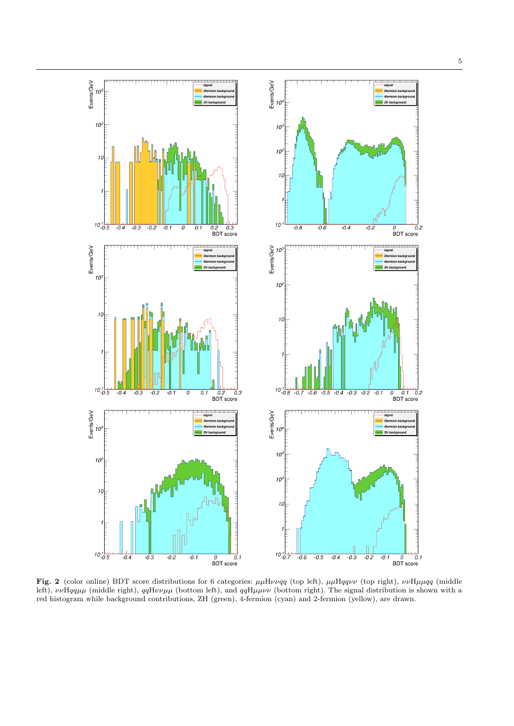

Fig. 2 (color online) BDT score distributions for 6 categories:  $\mu\mu H\nu\nu qq$  (top left),  $\mu\mu Hqq\nu\nu$  (top right),  $\nu\nu H\mu\nu qq$  (middle left),  $\nu\nu Hqq\mu\mu$  (middle right),  $qqH\nu\nu\mu\mu$  (bottom left), and  $qqH\mu\mu\nu\nu$  (bottom right). The signal distribution is shown with a red histogram while background contributions, ZH (green), 4-fermion (cyan) and 2-fermion (yellow), are drawn.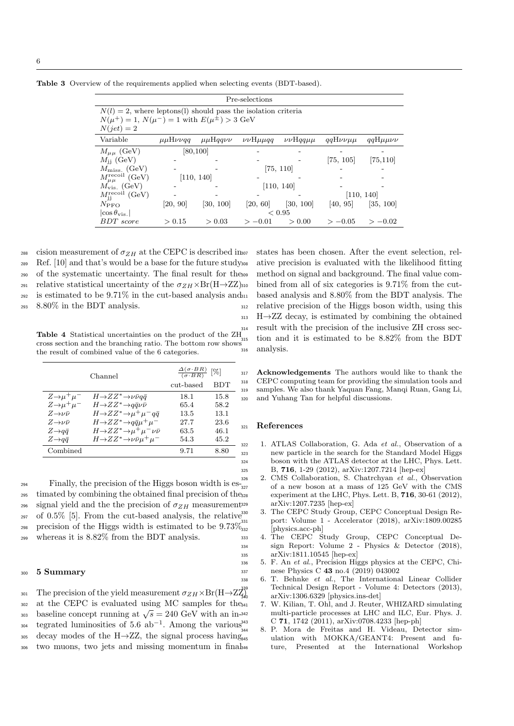|                                                                  |                                |                | Pre-selections         |                       |                   |                   |
|------------------------------------------------------------------|--------------------------------|----------------|------------------------|-----------------------|-------------------|-------------------|
| $N(l) = 2$ , where leptons(l) should pass the isolation criteria |                                |                |                        |                       |                   |                   |
| $N(\mu^+) = 1, N(\mu^-) = 1$ with $E(\mu^{\pm}) > 3$ GeV         |                                |                |                        |                       |                   |                   |
| $N(jet)=2$                                                       |                                |                |                        |                       |                   |                   |
| Variable                                                         | $\mu\mu H\nu\nu q\overline{q}$ | $\mu\mu$ Hqqvv | $\nu\nu$ H $\mu\mu qq$ | $\nu\nu$ Hqq $\mu\mu$ | $qqH\nu\nu\mu\mu$ | $qqH\mu\mu\nu\nu$ |
| $M_{\mu\mu}$ (GeV)                                               |                                | [80, 100]      |                        |                       |                   |                   |
| $M_{\rm ii}$ (GeV)                                               |                                |                |                        |                       | [75, 105]         | [75, 110]         |
| $M_{\rm miss.}$ (GeV)                                            |                                |                |                        | [75, 110]             |                   |                   |
| $M_{\mu\mu}^{\rm recoil}$ (GeV)                                  |                                | [110, 140]     |                        |                       |                   |                   |
| $M_{\rm vis.}$ (GeV)                                             |                                |                |                        | [110, 140]            |                   |                   |
| $M_{\rm jj}^{\rm recoil}~{\rm (GeV)}$                            |                                |                |                        |                       |                   | [110, 140]        |
| $N_{\rm PFO}$                                                    | [20, 90]                       | [30, 100]      | [20, 60]               | [30, 100]             | [40, 95]          | [35, 100]         |
| $ \cos \theta_{\rm vis.} $                                       |                                |                |                        | ${}< 0.95$            |                   |                   |
| <b>BDT</b> score                                                 | > 0.15                         | > 0.03         | $>-0.01$               | > 0.00                | $>-0.05$          | $>-0.02$          |

Table 3 Overview of the requirements applied when selecting events (BDT-based).

288 cision measurement of  $\sigma_{ZH}$  at the CEPC is described inser- Ref. [10] and that's would be a base for the future study of the systematic uncertainty. The final result for the 291 relative statistical uncertainty of the  $\sigma_{ZH} \times Br(H\rightarrow ZZ)$ 310 is estimated to be 9.71% in the cut-based analysis and  $\mu$ 8.80% in the BDT analysis.

**Table 4** Statistical uncertainties on the product of the  $ZH_{315}$ cross section and the branching ratio. The bottom row shows  $\frac{315}{100}$ the result of combined value of the 6 categories.

|                             | Channel                                               |           | $\frac{\Delta(\sigma \cdot BR)}{(\sigma \cdot BR)}$ [%] |  |  |
|-----------------------------|-------------------------------------------------------|-----------|---------------------------------------------------------|--|--|
|                             |                                                       | cut-based | <b>BDT</b>                                              |  |  |
| $Z\rightarrow \mu^+\mu^-$   | $H\rightarrow ZZ^*\rightarrow \nu\bar{\nu}q\bar{q}$   | 18.1      | 15.8                                                    |  |  |
| $Z\rightarrow \mu^+\mu^-$   | $H\rightarrow ZZ^* \rightarrow q\bar{q}\nu\bar{\nu}$  | 65.4      | 58.2                                                    |  |  |
| $Z\rightarrow \nu\bar{\nu}$ | $H\rightarrow ZZ^*\rightarrow \mu^+\mu^-q\bar{q}$     | 13.5      | 13.1                                                    |  |  |
| $Z\rightarrow \nu\bar{\nu}$ | $H\rightarrow ZZ^* \rightarrow q\bar{q}\mu^+\mu^-$    | 27.7      | 23.6                                                    |  |  |
| $Z \rightarrow q\bar{q}$    | $H\rightarrow ZZ^*\rightarrow \mu^+\mu^-\nu\bar{\nu}$ | 63.5      | 46.1                                                    |  |  |
| $Z \rightarrow q\bar{q}$    | $H\rightarrow ZZ^*\rightarrow \nu\bar{\nu}\mu^+\mu^-$ | 54.3      | 45.2                                                    |  |  |
| Combined                    |                                                       | 9.71      | 8.80                                                    |  |  |
|                             |                                                       |           |                                                         |  |  |

 $\frac{326}{294}$  Finally, the precision of the Higgs boson width is es- $\frac{326}{327}$ <sup>295</sup> timated by combining the obtained final precision of the<sub>328</sub> 296 signal yield and the the precision of  $\sigma_{ZH}$  measurement<sup>329</sup>  $297$  of 0.5% [5]. From the cut-based analysis, the relative<sup>330</sup> 298 precision of the Higgs width is estimated to be  $9.73\%$ <sup>32</sup><sub>332</sub>

<sup>299</sup> whereas it is 8.82% from the BDT analysis.

## <sup>300</sup> 5 Summary

301 The precision of the yield measurement  $\sigma_{ZH} \times Br(H\rightarrow ZZ)$ <sup>302</sup> at the CEPC is evaluated using MC samples for the  $\frac{302}{303}$  baseline concept running at  $\sqrt{s} = 240 \text{ GeV}$  with an in- $_{304}$  tegrated luminosities of 5.6 ab<sup>-1</sup>. Among the various 305 decay modes of the H $\rightarrow$ ZZ, the signal process having <sup>306</sup> two muons, two jets and missing momentum in final

states has been chosen. After the event selection, relative precision is evaluated with the likelihood fitting method on signal and background. The final value combined from all of six categories is  $9.71\%$  from the cutbased analysis and 8.80% from the BDT analysis. The <sup>312</sup> relative precision of the Higgs boson width, using this  $_{313}$  H $\rightarrow$ ZZ decay, is estimated by combining the obtained result with the precision of the inclusive ZH cross section and it is estimated to be  $8.82\%$  from the BDT analysis.

Acknowledgements The authors would like to thank the CEPC computing team for providing the simulation tools and samples. We also thank Yaquan Fang, Manqi Ruan, Gang Li, and Yuhang Tan for helpful discussions.

#### **References**

- 1. ATLAS Collaboration, G. Ada et al., Observation of a new particle in the search for the Standard Model Higgs boson with the ATLAS detector at the LHC, Phys. Lett. <sup>325</sup> B, 716, 1-29 (2012), arXiv:1207.7214 [hep-ex]
	- 2. CMS Collaboration, S. Chatrchyan et al., Observation of a new boson at a mass of 125 GeV with the CMS experiment at the LHC, Phys. Lett. B,  $716$ , 30-61 (2012), <sup>329</sup> arXiv:1207.7235 [hep-ex]
- 3. The CEPC Study Group, CEPC Conceptual Design Re-<sup>331</sup> port: Volume 1 - Accelerator (2018), arXiv:1809.00285 [physics.acc-ph]
- <sup>333</sup> 4. The CEPC Study Group, CEPC Conceptual De-<sup>334</sup> sign Report: Volume 2 - Physics & Detector (2018), <sup>335</sup> arXiv:1811.10545 [hep-ex]
- <sup>336</sup> 5. F. An et al., Precision Higgs physics at the CEPC, Chi-<sup>337</sup> nese Physics C 43 no.4 (2019) 043002
- <sup>338</sup> 6. T. Behnke et al., The International Linear Collider <sup>339</sup> Technical Design Report - Volume 4: Detectors (2013),  $\left.\ar{\rm Xiv:}1306.6329\right.\left.\left[\mbox{physics-ins-det}\right]\right.$ 
	- <sup>341</sup> 7. W. Kilian, T. Ohl, and J. Reuter, WHIZARD simulating multi-particle processes at LHC and ILC, Eur. Phys. J. C 71, 1742 (2011), arXiv:0708.4233 [hep-ph]
	- <sup>344</sup> 8. P. Mora de Freitas and H. Videau, Detector simulation with MOKKA/GEANT4: Present and future, Presented at the International Workshop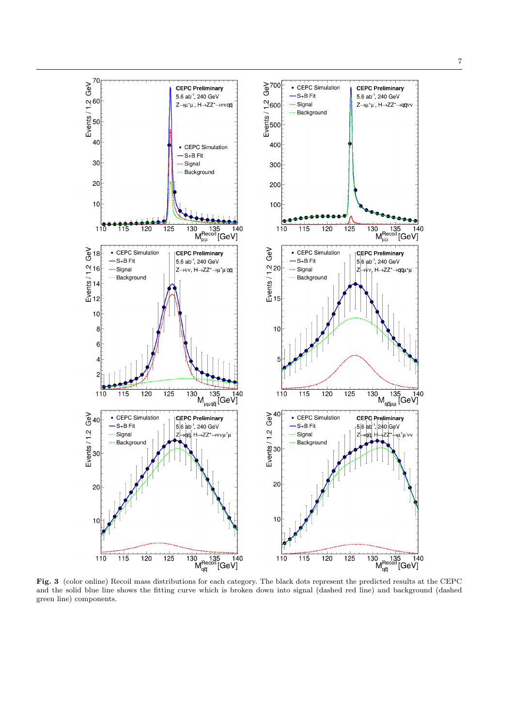

7



Fig. 3 (color online) Recoil mass distributions for each category. The black dots represent the predicted results at the CEPC and the solid blue line shows the fitting curve which is broken down into signal (dashed red line) and background (dashed green line) components.